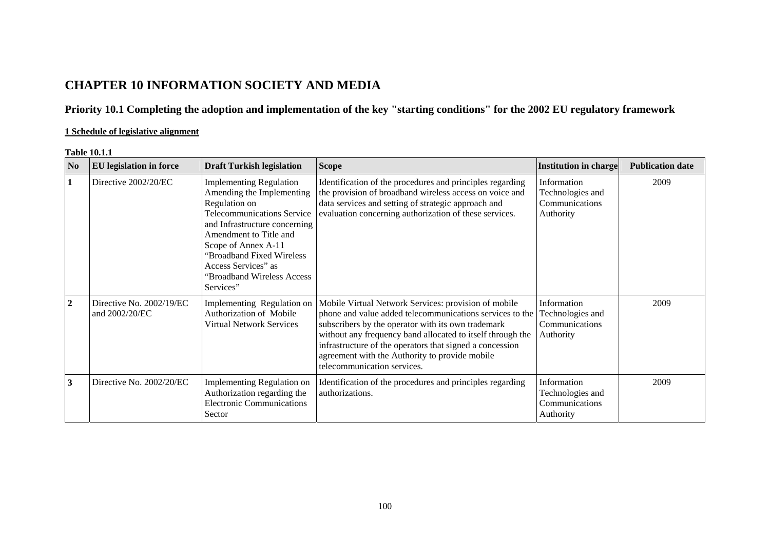# **CHAPTER 10 INFORMATION SOCIETY AND MEDIA**

# **Priority 10.1 Completing the adoption and implementation of the key "starting conditions" for the 2002 EU regulatory framework**

# **1 Schedule of legislative alignment**

#### **Table 10.1.1**

| N <sub>0</sub>   | <b>EU</b> legislation in force             | <b>Draft Turkish legislation</b>                                                                                                                                                                                                                                                                   | <b>Scope</b>                                                                                                                                                                                                                                                                                                                                                                      | <b>Institution in charge</b>                                   | <b>Publication date</b> |
|------------------|--------------------------------------------|----------------------------------------------------------------------------------------------------------------------------------------------------------------------------------------------------------------------------------------------------------------------------------------------------|-----------------------------------------------------------------------------------------------------------------------------------------------------------------------------------------------------------------------------------------------------------------------------------------------------------------------------------------------------------------------------------|----------------------------------------------------------------|-------------------------|
|                  | Directive 2002/20/EC                       | <b>Implementing Regulation</b><br>Amending the Implementing<br>Regulation on<br><b>Telecommunications Service</b><br>and Infrastructure concerning<br>Amendment to Title and<br>Scope of Annex A-11<br>"Broadband Fixed Wireless<br>Access Services" as<br>"Broadband Wireless Access<br>Services" | Identification of the procedures and principles regarding<br>the provision of broadband wireless access on voice and<br>data services and setting of strategic approach and<br>evaluation concerning authorization of these services.                                                                                                                                             | Information<br>Technologies and<br>Communications<br>Authority | 2009                    |
| $\boldsymbol{2}$ | Directive No. 2002/19/EC<br>and 2002/20/EC | Implementing Regulation on<br>Authorization of Mobile<br><b>Virtual Network Services</b>                                                                                                                                                                                                           | Mobile Virtual Network Services: provision of mobile<br>phone and value added telecommunications services to the<br>subscribers by the operator with its own trademark<br>without any frequency band allocated to itself through the<br>infrastructure of the operators that signed a concession<br>agreement with the Authority to provide mobile<br>telecommunication services. | Information<br>Technologies and<br>Communications<br>Authority | 2009                    |
| 3                | Directive No. 2002/20/EC                   | Implementing Regulation on<br>Authorization regarding the<br><b>Electronic Communications</b><br>Sector                                                                                                                                                                                            | Identification of the procedures and principles regarding<br>authorizations.                                                                                                                                                                                                                                                                                                      | Information<br>Technologies and<br>Communications<br>Authority | 2009                    |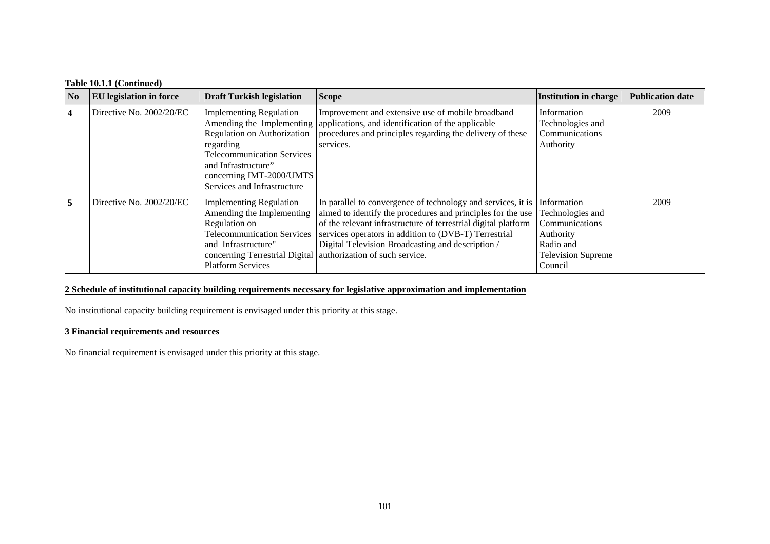| Table 10.1.1 (Continued) |  |
|--------------------------|--|
|--------------------------|--|

| N <sub>0</sub> | <b>EU</b> legislation in force | <b>Draft Turkish legislation</b>                                                                                                                                                                         | <b>Scope</b>                                                                                                                                                                                                                                                                                                                                                                   | <b>Institution in charge</b>                                                                                        | <b>Publication date</b> |
|----------------|--------------------------------|----------------------------------------------------------------------------------------------------------------------------------------------------------------------------------------------------------|--------------------------------------------------------------------------------------------------------------------------------------------------------------------------------------------------------------------------------------------------------------------------------------------------------------------------------------------------------------------------------|---------------------------------------------------------------------------------------------------------------------|-------------------------|
| 4              | Directive No. 2002/20/EC       | <b>Implementing Regulation</b><br><b>Regulation on Authorization</b><br>regarding<br><b>Telecommunication Services</b><br>and Infrastructure"<br>concerning IMT-2000/UMTS<br>Services and Infrastructure | Improvement and extensive use of mobile broadband<br>Amending the Implementing   applications, and identification of the applicable<br>procedures and principles regarding the delivery of these<br>services.                                                                                                                                                                  | Information<br>Technologies and<br>Communications<br>Authority                                                      | 2009                    |
| 5              | Directive No. 2002/20/EC       | <b>Implementing Regulation</b><br>Amending the Implementing<br>Regulation on<br><b>Telecommunication Services</b><br>and Infrastructure"<br><b>Platform Services</b>                                     | In parallel to convergence of technology and services, it is<br>aimed to identify the procedures and principles for the use<br>of the relevant infrastructure of terrestrial digital platform<br>services operators in addition to (DVB-T) Terrestrial<br>Digital Television Broadcasting and description /<br>concerning Terrestrial Digital   authorization of such service. | Information<br>Technologies and<br>Communications<br>Authority<br>Radio and<br><b>Television Supreme</b><br>Council | 2009                    |

# **2 Schedule of institutional capacity building requirements necessary for legislative approximation and implementation**

No institutional capacity building requirement is envisaged under this priority at this stage.

# **3 Financial requirements and resources**

No financial requirement is envisaged under this priority at this stage.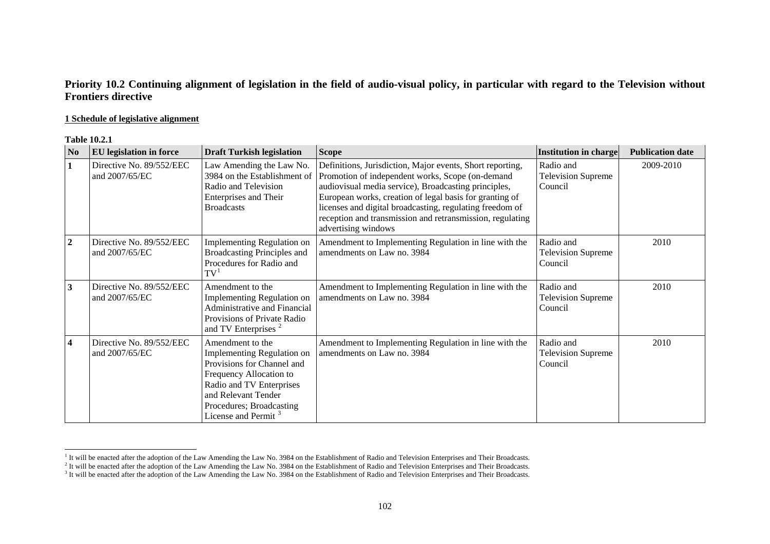# **Priority 10.2 Continuing alignment of legislation in the field of audio-visual policy, in particular with regard to the Television without Frontiers directive**

### **1 Schedule of legislative alignment**

#### **Table 10.2.1**

| N <sub>0</sub>          | <b>EU</b> legislation in force             | <b>Draft Turkish legislation</b>                                                                                                                                                                                                 | <b>Scope</b>                                                                                                                                                                                                                                                                                                                                                                     | Institution in charge                             | <b>Publication date</b> |
|-------------------------|--------------------------------------------|----------------------------------------------------------------------------------------------------------------------------------------------------------------------------------------------------------------------------------|----------------------------------------------------------------------------------------------------------------------------------------------------------------------------------------------------------------------------------------------------------------------------------------------------------------------------------------------------------------------------------|---------------------------------------------------|-------------------------|
| $\mathbf{1}$            | Directive No. 89/552/EEC<br>and 2007/65/EC | Law Amending the Law No.<br>3984 on the Establishment of<br>Radio and Television<br><b>Enterprises and Their</b><br><b>Broadcasts</b>                                                                                            | Definitions, Jurisdiction, Major events, Short reporting,<br>Promotion of independent works, Scope (on-demand<br>audiovisual media service), Broadcasting principles,<br>European works, creation of legal basis for granting of<br>licenses and digital broadcasting, regulating freedom of<br>reception and transmission and retransmission, regulating<br>advertising windows | Radio and<br><b>Television Supreme</b><br>Council | 2009-2010               |
| $\overline{2}$          | Directive No. 89/552/EEC<br>and 2007/65/EC | Implementing Regulation on<br>Broadcasting Principles and<br>Procedures for Radio and<br>$\mathrm{TV}^1$                                                                                                                         | Amendment to Implementing Regulation in line with the<br>amendments on Law no. 3984                                                                                                                                                                                                                                                                                              | Radio and<br><b>Television Supreme</b><br>Council | 2010                    |
| $\mathbf{3}$            | Directive No. 89/552/EEC<br>and 2007/65/EC | Amendment to the<br><b>Implementing Regulation on</b><br><b>Administrative and Financial</b><br>Provisions of Private Radio<br>and TV Enterprises <sup>2</sup>                                                                   | Amendment to Implementing Regulation in line with the<br>amendments on Law no. 3984                                                                                                                                                                                                                                                                                              | Radio and<br><b>Television Supreme</b><br>Council | 2010                    |
| $\overline{\mathbf{4}}$ | Directive No. 89/552/EEC<br>and 2007/65/EC | Amendment to the<br><b>Implementing Regulation on</b><br>Provisions for Channel and<br>Frequency Allocation to<br>Radio and TV Enterprises<br>and Relevant Tender<br>Procedures; Broadcasting<br>License and Permit <sup>3</sup> | Amendment to Implementing Regulation in line with the<br>amendments on Law no. 3984                                                                                                                                                                                                                                                                                              | Radio and<br><b>Television Supreme</b><br>Council | 2010                    |

<sup>&</sup>lt;sup>1</sup> It will be enacted after the adoption of the Law Amending the Law No. 3984 on the Establishment of Radio and Television Enterprises and Their Broadcasts.

 $<sup>2</sup>$  It will be enacted after the adoption of the Law Amending the Law No. 3984 on the Establishment of Radio and Television Enterprises and Their Broadcasts.</sup>

<span id="page-2-2"></span><span id="page-2-1"></span><span id="page-2-0"></span><sup>&</sup>lt;sup>3</sup> It will be enacted after the adoption of the Law Amending the Law No. 3984 on the Establishment of Radio and Television Enterprises and Their Broadcasts.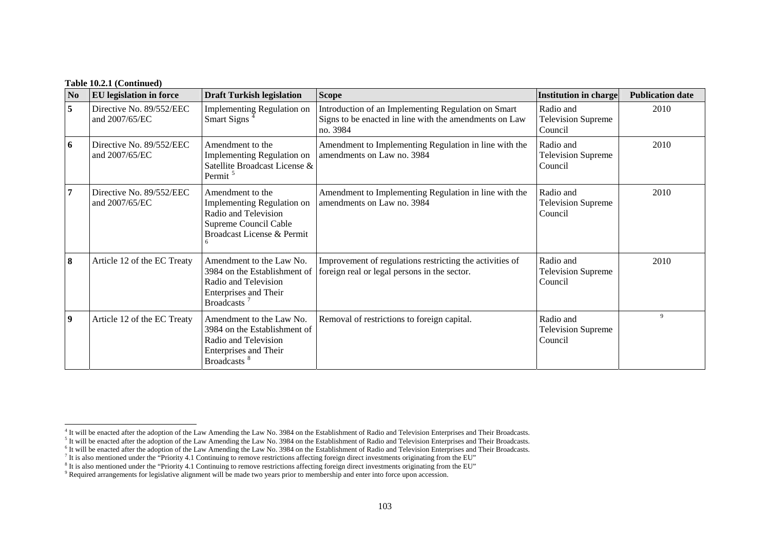#### **Table 10.2.1 (Continued)**

| N <sub>0</sub>   | <b>EU</b> legislation in force             | <b>Draft Turkish legislation</b>                                                                                                            | <b>Scope</b>                                                                                                              | Institution in charge                             | <b>Publication date</b> |
|------------------|--------------------------------------------|---------------------------------------------------------------------------------------------------------------------------------------------|---------------------------------------------------------------------------------------------------------------------------|---------------------------------------------------|-------------------------|
| 5                | Directive No. 89/552/EEC<br>and 2007/65/EC | Implementing Regulation on<br><b>Smart Signs</b>                                                                                            | Introduction of an Implementing Regulation on Smart<br>Signs to be enacted in line with the amendments on Law<br>no. 3984 | Radio and<br><b>Television Supreme</b><br>Council | 2010                    |
| 6                | Directive No. 89/552/EEC<br>and 2007/65/EC | Amendment to the<br><b>Implementing Regulation on</b><br>Satellite Broadcast License &<br>Permit <sup>5</sup>                               | Amendment to Implementing Regulation in line with the<br>amendments on Law no. 3984                                       | Radio and<br><b>Television Supreme</b><br>Council | 2010                    |
|                  | Directive No. 89/552/EEC<br>and 2007/65/EC | Amendment to the<br>Implementing Regulation on<br>Radio and Television<br>Supreme Council Cable<br>Broadcast License & Permit               | Amendment to Implementing Regulation in line with the<br>amendments on Law no. 3984                                       | Radio and<br><b>Television Supreme</b><br>Council | 2010                    |
| 8                | Article 12 of the EC Treaty                | Amendment to the Law No.<br>3984 on the Establishment of<br>Radio and Television<br><b>Enterprises and Their</b><br>Broadcasts <sup>7</sup> | Improvement of regulations restricting the activities of<br>foreign real or legal persons in the sector.                  | Radio and<br><b>Television Supreme</b><br>Council | 2010                    |
| $\boldsymbol{9}$ | Article 12 of the EC Treaty                | Amendment to the Law No.<br>3984 on the Establishment of<br>Radio and Television<br><b>Enterprises and Their</b><br>Broadcasts <sup>8</sup> | Removal of restrictions to foreign capital.                                                                               | Radio and<br><b>Television Supreme</b><br>Council | 9                       |

<span id="page-3-0"></span><sup>&</sup>lt;sup>4</sup> It will be enacted after the adoption of the Law Amending the Law No. 3984 on the Establishment of Radio and Television Enterprises and Their Broadcasts.

<span id="page-3-1"></span><sup>&</sup>lt;sup>5</sup> It will be enacted after the adoption of the Law Amending the Law No. 3984 on the Establishment of Radio and Television Enterprises and Their Broadcasts.

 $6$  It will be enacted after the adoption of the Law Amending the Law No. 3984 on the Establishment of Radio and Television Enterprises and Their Broadcasts.

 $^7$  It is also mentioned under the "Priority 4.1 Continuing to remove restrictions affecting foreign direct investments originating from the EU"

<span id="page-3-2"></span><sup>&</sup>lt;sup>8</sup> It is also mentioned under the "Priority 4.1 Continuing to remove restrictions affecting foreign direct investments originating from the EU"

<sup>9</sup> Required arrangements for legislative alignment will be made two years prior to membership and enter into force upon accession.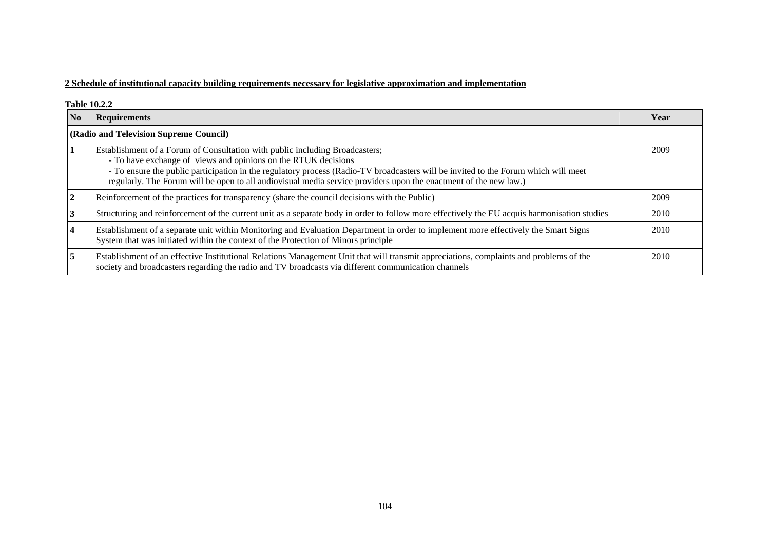# **2 Schedule of institutional capacity building requirements necessary for legislative approximation and implementation**

|    | <b>Table 10.2.2</b>                                                                                                                                                                                                                                                                                                                                                                                      |      |  |  |  |  |
|----|----------------------------------------------------------------------------------------------------------------------------------------------------------------------------------------------------------------------------------------------------------------------------------------------------------------------------------------------------------------------------------------------------------|------|--|--|--|--|
| No | <b>Requirements</b>                                                                                                                                                                                                                                                                                                                                                                                      | Year |  |  |  |  |
|    | (Radio and Television Supreme Council)                                                                                                                                                                                                                                                                                                                                                                   |      |  |  |  |  |
|    | Establishment of a Forum of Consultation with public including Broadcasters;<br>- To have exchange of views and opinions on the RTUK decisions<br>- To ensure the public participation in the regulatory process (Radio-TV broadcasters will be invited to the Forum which will meet<br>regularly. The Forum will be open to all audiovisual media service providers upon the enactment of the new law.) | 2009 |  |  |  |  |
|    | Reinforcement of the practices for transparency (share the council decisions with the Public)                                                                                                                                                                                                                                                                                                            | 2009 |  |  |  |  |
|    | Structuring and reinforcement of the current unit as a separate body in order to follow more effectively the EU acquis harmonisation studies                                                                                                                                                                                                                                                             | 2010 |  |  |  |  |
|    | Establishment of a separate unit within Monitoring and Evaluation Department in order to implement more effectively the Smart Signs<br>System that was initiated within the context of the Protection of Minors principle                                                                                                                                                                                | 2010 |  |  |  |  |
| 5  | Establishment of an effective Institutional Relations Management Unit that will transmit appreciations, complaints and problems of the<br>society and broadcasters regarding the radio and TV broadcasts via different communication channels                                                                                                                                                            | 2010 |  |  |  |  |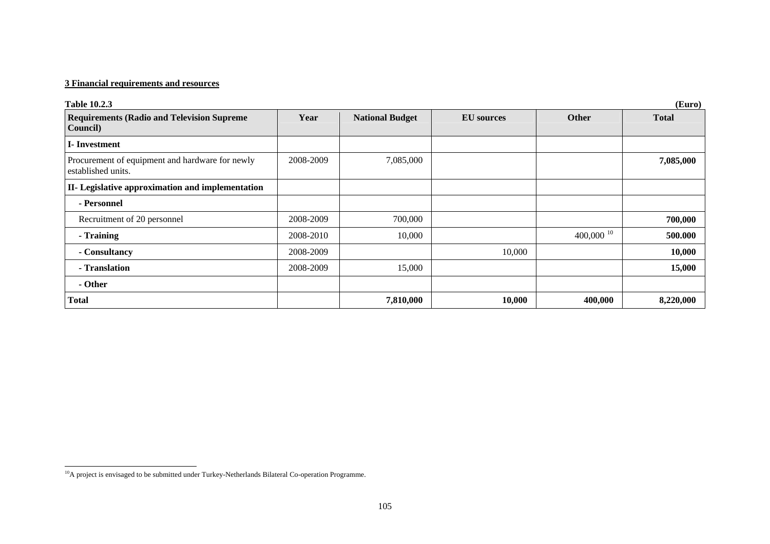# **3 Financial requirements and resources**

| <b>Table 10.2.3</b>                                                   |           |                        |                   |                 | (Euro)       |
|-----------------------------------------------------------------------|-----------|------------------------|-------------------|-----------------|--------------|
| <b>Requirements (Radio and Television Supreme</b><br>Council)         | Year      | <b>National Budget</b> | <b>EU</b> sources | <b>Other</b>    | <b>Total</b> |
| <b>I</b> -Investment                                                  |           |                        |                   |                 |              |
| Procurement of equipment and hardware for newly<br>established units. | 2008-2009 | 7,085,000              |                   |                 | 7,085,000    |
| <b>II-</b> Legislative approximation and implementation               |           |                        |                   |                 |              |
| - Personnel                                                           |           |                        |                   |                 |              |
| Recruitment of 20 personnel                                           | 2008-2009 | 700,000                |                   |                 | 700,000      |
| - Training                                                            | 2008-2010 | 10,000                 |                   | 400,000 $^{10}$ | 500.000      |
| - Consultancy                                                         | 2008-2009 |                        | 10,000            |                 | 10,000       |
| - Translation                                                         | 2008-2009 | 15,000                 |                   |                 | 15,000       |
| - Other                                                               |           |                        |                   |                 |              |
| <b>Total</b>                                                          |           | 7,810,000              | 10,000            | 400,000         | 8,220,000    |

<span id="page-5-0"></span><sup>&</sup>lt;sup>10</sup>A project is envisaged to be submitted under Turkey-Netherlands Bilateral Co-operation Programme.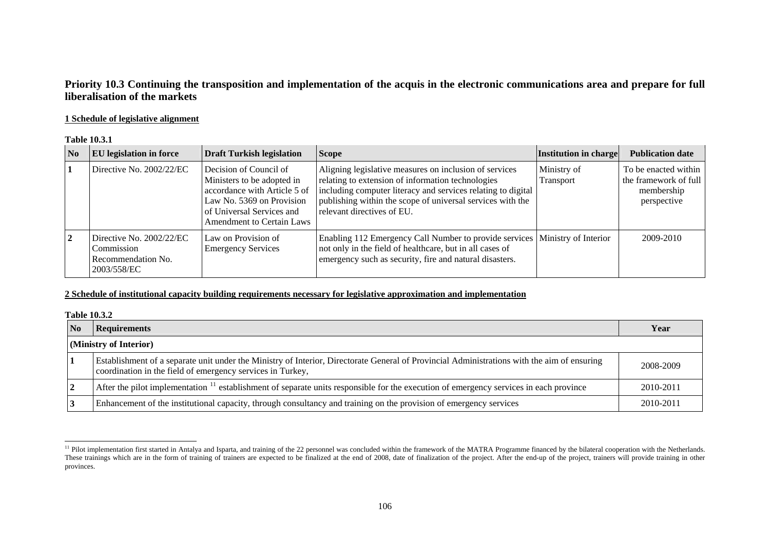# **Priority 10.3 Continuing the transposition and implementation of the acquis in the electronic communications area and prepare for full liberalisation of the markets**

### **1 Schedule of legislative alignment**

#### **Table 10.3.1**

| $\overline{\mathbf{N}}$ | EU legislation in force                                                     | <b>Draft Turkish legislation</b>                                                                                                                                                   | <b>Scope</b>                                                                                                                                                                                                                                                            | Institution in charge    | <b>Publication date</b>                                                    |
|-------------------------|-----------------------------------------------------------------------------|------------------------------------------------------------------------------------------------------------------------------------------------------------------------------------|-------------------------------------------------------------------------------------------------------------------------------------------------------------------------------------------------------------------------------------------------------------------------|--------------------------|----------------------------------------------------------------------------|
|                         | Directive No. 2002/22/EC                                                    | Decision of Council of<br>Ministers to be adopted in<br>accordance with Article 5 of<br>Law No. 5369 on Provision<br>of Universal Services and<br><b>Amendment to Certain Laws</b> | Aligning legislative measures on inclusion of services<br>relating to extension of information technologies<br>including computer literacy and services relating to digital<br>publishing within the scope of universal services with the<br>relevant directives of EU. | Ministry of<br>Transport | To be enacted within<br>the framework of full<br>membership<br>perspective |
| $\overline{2}$          | Directive No. 2002/22/EC<br>Commission<br>Recommendation No.<br>2003/558/EC | Law on Provision of<br><b>Emergency Services</b>                                                                                                                                   | Enabling 112 Emergency Call Number to provide services   Ministry of Interior<br>not only in the field of healthcare, but in all cases of<br>emergency such as security, fire and natural disasters.                                                                    |                          | 2009-2010                                                                  |

## **2 Schedule of institutional capacity building requirements necessary for legislative approximation and implementation**

#### **Table 10.3.2**

| $\overline{\text{No}}$ | <b>Requirements</b>                                                                                                                                                                                       | Year      |  |  |
|------------------------|-----------------------------------------------------------------------------------------------------------------------------------------------------------------------------------------------------------|-----------|--|--|
| (Ministry of Interior) |                                                                                                                                                                                                           |           |  |  |
|                        | Establishment of a separate unit under the Ministry of Interior, Directorate General of Provincial Administrations with the aim of ensuring<br>coordination in the field of emergency services in Turkey, | 2008-2009 |  |  |
|                        | After the pilot implementation <sup>11</sup> establishment of separate units responsible for the execution of emergency services in each province                                                         | 2010-2011 |  |  |
|                        | Enhancement of the institutional capacity, through consultancy and training on the provision of emergency services                                                                                        | 2010-2011 |  |  |

<span id="page-6-0"></span><sup>&</sup>lt;sup>11</sup> Pilot implementation first started in Antalya and Isparta, and training of the 22 personnel was concluded within the framework of the MATRA Programme financed by the bilateral cooperation with the Netherlands. These trainings which are in the form of training of trainers are expected to be finalized at the end of 2008, date of finalization of the project. After the end-up of the project, trainers will provide training in other provinces.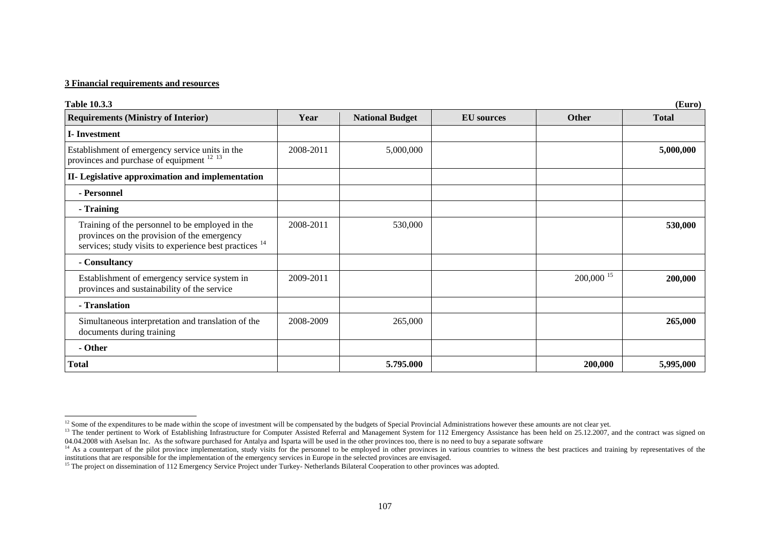#### **3 Financial requirements and resources**

| <b>Table 10.3.3</b>                                                                                                                                                 |           |                        |                   |                         | (Euro)       |
|---------------------------------------------------------------------------------------------------------------------------------------------------------------------|-----------|------------------------|-------------------|-------------------------|--------------|
| <b>Requirements (Ministry of Interior)</b>                                                                                                                          | Year      | <b>National Budget</b> | <b>EU</b> sources | <b>Other</b>            | <b>Total</b> |
| <b>I</b> -Investment                                                                                                                                                |           |                        |                   |                         |              |
| Establishment of emergency service units in the<br>provinces and purchase of equipment <sup>12 13</sup>                                                             | 2008-2011 | 5,000,000              |                   |                         | 5,000,000    |
| II- Legislative approximation and implementation                                                                                                                    |           |                        |                   |                         |              |
| - Personnel                                                                                                                                                         |           |                        |                   |                         |              |
| - Training                                                                                                                                                          |           |                        |                   |                         |              |
| Training of the personnel to be employed in the<br>provinces on the provision of the emergency<br>services; study visits to experience best practices <sup>14</sup> | 2008-2011 | 530,000                |                   |                         | 530,000      |
| - Consultancy                                                                                                                                                       |           |                        |                   |                         |              |
| Establishment of emergency service system in<br>provinces and sustainability of the service                                                                         | 2009-2011 |                        |                   | $200,000$ <sup>15</sup> | 200,000      |
| - Translation                                                                                                                                                       |           |                        |                   |                         |              |
| Simultaneous interpretation and translation of the<br>documents during training                                                                                     | 2008-2009 | 265,000                |                   |                         | 265,000      |
| - Other                                                                                                                                                             |           |                        |                   |                         |              |
| Total                                                                                                                                                               |           | 5.795.000              |                   | 200,000                 | 5,995,000    |

 $12$  Some of the expenditures to be made within the scope of investment will be compensated by the budgets of Special Provincial Administrations however these amounts are not clear yet.

<span id="page-7-1"></span><span id="page-7-0"></span><sup>&</sup>lt;sup>13</sup> The tender pertinent to Work of Establishing Infrastructure for Computer Assisted Referral and Management System for 112 Emergency Assistance has been held on 25.12.2007, and the contract was signed on 04.04.2008 with Aselsan Inc. As the software purchased for Antalya and Isparta will be used in the other provinces too, there is no need to buy a separate software

<span id="page-7-2"></span><sup>&</sup>lt;sup>14</sup> As a counterpart of the pilot province implementation, study visits for the personnel to be employed in other provinces in various countries to witness the best practices and training by representatives of the particl institutions that are responsible for the implementation of the emergency services in Europe in the selected provinces are envisaged.

<span id="page-7-3"></span><sup>&</sup>lt;sup>15</sup> The project on dissemination of 112 Emergency Service Project under Turkey- Netherlands Bilateral Cooperation to other provinces was adopted.